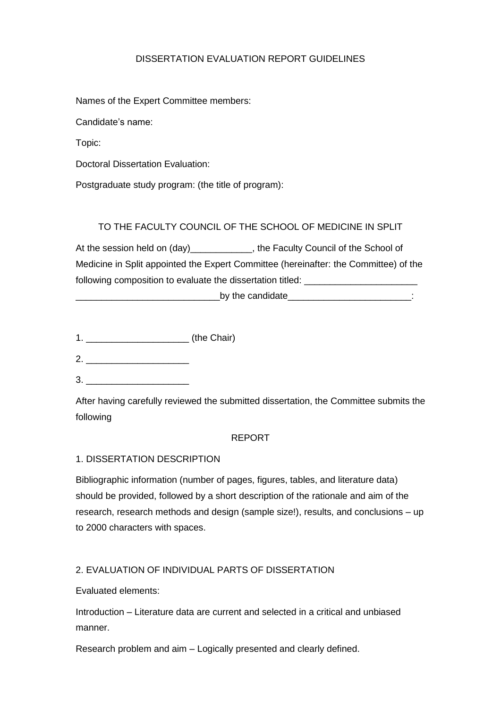### DISSERTATION EVALUATION REPORT GUIDELINES

Names of the Expert Committee members:

Candidate's name:

Topic:

Doctoral Dissertation Evaluation:

Postgraduate study program: (the title of program):

## TO THE FACULTY COUNCIL OF THE SCHOOL OF MEDICINE IN SPLIT

At the session held on (day)\_\_\_\_\_\_\_\_\_\_\_\_, the Faculty Council of the School of Medicine in Split appointed the Expert Committee (hereinafter: the Committee) of the following composition to evaluate the dissertation titled: \_\_\_\_\_\_\_\_\_\_\_\_\_\_\_\_\_\_\_\_\_

by the candidate example of  $\sim$  .

1. \_\_\_\_\_\_\_\_\_\_\_\_\_\_\_\_\_\_\_\_ (the Chair)

- 2. \_\_\_\_\_\_\_\_\_\_\_\_\_\_\_\_\_\_\_\_
- 3. \_\_\_\_\_\_\_\_\_\_\_\_\_\_\_\_\_\_\_\_

After having carefully reviewed the submitted dissertation, the Committee submits the following

#### REPORT

#### 1. DISSERTATION DESCRIPTION

Bibliographic information (number of pages, figures, tables, and literature data) should be provided, followed by a short description of the rationale and aim of the research, research methods and design (sample size!), results, and conclusions – up to 2000 characters with spaces.

## 2. EVALUATION OF INDIVIDUAL PARTS OF DISSERTATION

Evaluated elements:

Introduction – Literature data are current and selected in a critical and unbiased manner.

Research problem and aim – Logically presented and clearly defined.